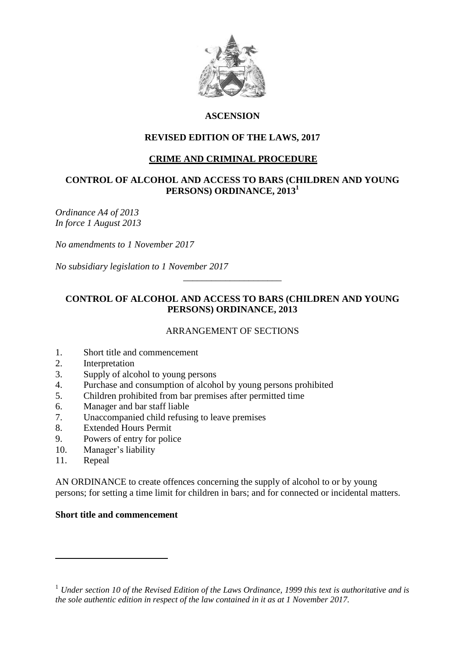

# **ASCENSION**

## **REVISED EDITION OF THE LAWS, 2017**

# **CRIME AND CRIMINAL PROCEDURE**

### **CONTROL OF ALCOHOL AND ACCESS TO BARS (CHILDREN AND YOUNG PERSONS) ORDINANCE, 2013<sup>1</sup>**

*Ordinance A4 of 2013 In force 1 August 2013*

*No amendments to 1 November 2017*

*No subsidiary legislation to 1 November 2017*

# **CONTROL OF ALCOHOL AND ACCESS TO BARS (CHILDREN AND YOUNG PERSONS) ORDINANCE, 2013**

\_\_\_\_\_\_\_\_\_\_\_\_\_\_\_\_\_\_\_\_\_

## ARRANGEMENT OF SECTIONS

- 1. Short title and commencement
- 2. Interpretation
- 3. Supply of alcohol to young persons
- 4. Purchase and consumption of alcohol by young persons prohibited
- 5. Children prohibited from bar premises after permitted time
- 6. Manager and bar staff liable
- 7. Unaccompanied child refusing to leave premises
- 8. Extended Hours Permit
- 9. Powers of entry for police
- 10. Manager's liability
- 11. Repeal

 $\overline{a}$ 

AN ORDINANCE to create offences concerning the supply of alcohol to or by young persons; for setting a time limit for children in bars; and for connected or incidental matters.

#### **Short title and commencement**

<sup>1</sup> *Under section 10 of the Revised Edition of the Laws Ordinance, 1999 this text is authoritative and is the sole authentic edition in respect of the law contained in it as at 1 November 2017.*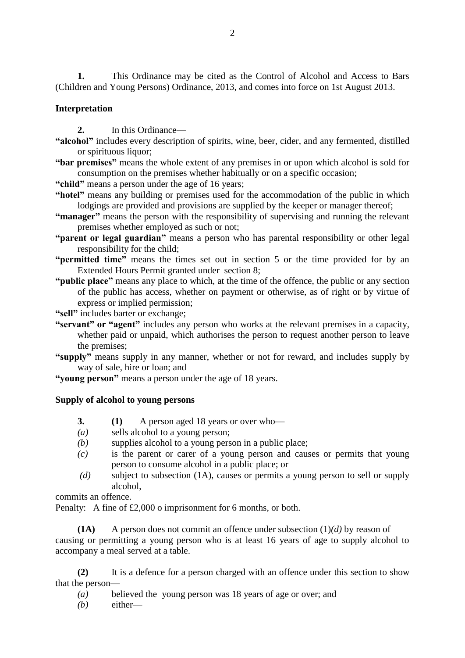**1.** This Ordinance may be cited as the Control of Alcohol and Access to Bars (Children and Young Persons) Ordinance, 2013, and comes into force on 1st August 2013.

### **Interpretation**

**2.** In this Ordinance—

- **"alcohol"** includes every description of spirits, wine, beer, cider, and any fermented, distilled or spirituous liquor;
- **"bar premises"** means the whole extent of any premises in or upon which alcohol is sold for consumption on the premises whether habitually or on a specific occasion;
- **"child"** means a person under the age of 16 years;
- **"hotel"** means any building or premises used for the accommodation of the public in which lodgings are provided and provisions are supplied by the keeper or manager thereof;
- **"manager"** means the person with the responsibility of supervising and running the relevant premises whether employed as such or not;
- **"parent or legal guardian"** means a person who has parental responsibility or other legal responsibility for the child;
- **"permitted time"** means the times set out in section 5 or the time provided for by an Extended Hours Permit granted under section 8;
- **"public place"** means any place to which, at the time of the offence, the public or any section of the public has access, whether on payment or otherwise, as of right or by virtue of express or implied permission;

**"sell"** includes barter or exchange;

- **"servant" or "agent"** includes any person who works at the relevant premises in a capacity, whether paid or unpaid, which authorises the person to request another person to leave the premises;
- **"supply"** means supply in any manner, whether or not for reward, and includes supply by way of sale, hire or loan; and

**"young person"** means a person under the age of 18 years.

## **Supply of alcohol to young persons**

- **3. (1)** A person aged 18 years or over who—
- *(a)* sells alcohol to a young person;
- *(b)* supplies alcohol to a young person in a public place;
- *(c)* is the parent or carer of a young person and causes or permits that young person to consume alcohol in a public place; or
- *(d)* subject to subsection (1A), causes or permits a young person to sell or supply alcohol,

commits an offence.

Penalty: A fine of £2,000 o imprisonment for 6 months, or both.

**(1A)** A person does not commit an offence under subsection (1)*(d)* by reason of causing or permitting a young person who is at least 16 years of age to supply alcohol to accompany a meal served at a table.

**(2)** It is a defence for a person charged with an offence under this section to show that the person—

- *(a)* believed the young person was 18 years of age or over; and
- *(b)* either—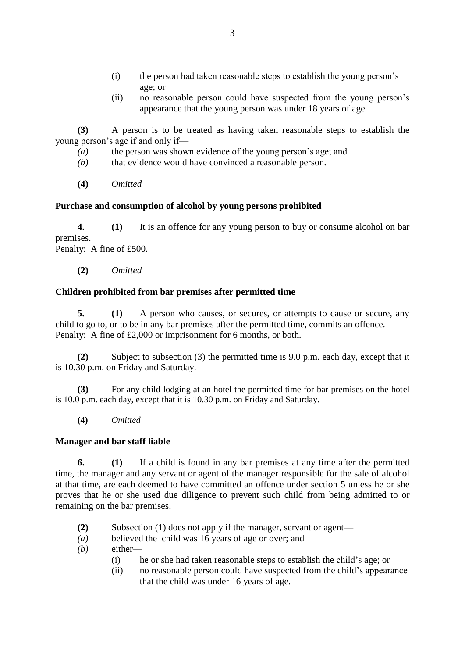- (i) the person had taken reasonable steps to establish the young person's age; or
- (ii) no reasonable person could have suspected from the young person's appearance that the young person was under 18 years of age.

**(3)** A person is to be treated as having taken reasonable steps to establish the young person's age if and only if—

- *(a)* the person was shown evidence of the young person's age; and
- *(b)* that evidence would have convinced a reasonable person.
- **(4)** *Omitted*

## **Purchase and consumption of alcohol by young persons prohibited**

**4. (1)** It is an offence for any young person to buy or consume alcohol on bar premises.

Penalty: A fine of £500.

**(2)** *Omitted*

## **Children prohibited from bar premises after permitted time**

**5. (1)** A person who causes, or secures, or attempts to cause or secure, any child to go to, or to be in any bar premises after the permitted time, commits an offence. Penalty: A fine of £2,000 or imprisonment for 6 months, or both.

**(2)** Subject to subsection (3) the permitted time is 9.0 p.m. each day, except that it is 10.30 p.m. on Friday and Saturday.

**(3)** For any child lodging at an hotel the permitted time for bar premises on the hotel is 10.0 p.m. each day, except that it is 10.30 p.m. on Friday and Saturday.

**(4)** *Omitted*

## **Manager and bar staff liable**

**6. (1)** If a child is found in any bar premises at any time after the permitted time, the manager and any servant or agent of the manager responsible for the sale of alcohol at that time, are each deemed to have committed an offence under section 5 unless he or she proves that he or she used due diligence to prevent such child from being admitted to or remaining on the bar premises.

- **(2)** Subsection (1) does not apply if the manager, servant or agent—
- *(a)* believed the child was 16 years of age or over; and
- *(b)* either—
	- (i) he or she had taken reasonable steps to establish the child's age; or
	- (ii) no reasonable person could have suspected from the child's appearance that the child was under 16 years of age.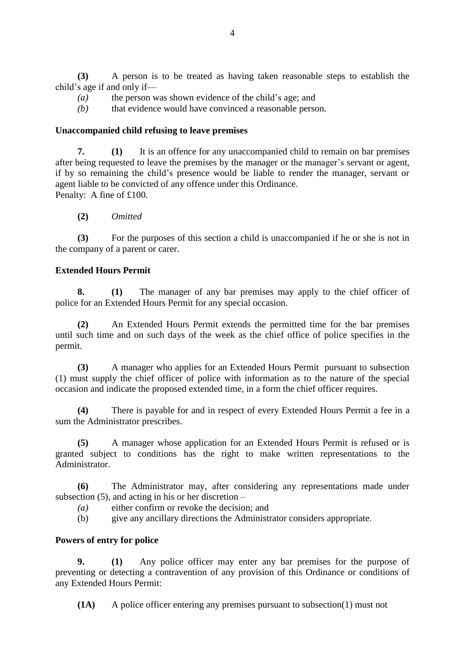**(3)** A person is to be treated as having taken reasonable steps to establish the child's age if and only if—

- *(a)* the person was shown evidence of the child's age; and
- *(b)* that evidence would have convinced a reasonable person.

#### **Unaccompanied child refusing to leave premises**

**7. (1)** It is an offence for any unaccompanied child to remain on bar premises after being requested to leave the premises by the manager or the manager's servant or agent, if by so remaining the child's presence would be liable to render the manager, servant or agent liable to be convicted of any offence under this Ordinance. Penalty: A fine of £100.

**(2)** *Omitted*

**(3)** For the purposes of this section a child is unaccompanied if he or she is not in the company of a parent or carer.

#### **Extended Hours Permit**

**8. (1)** The manager of any bar premises may apply to the chief officer of police for an Extended Hours Permit for any special occasion.

**(2)** An Extended Hours Permit extends the permitted time for the bar premises until such time and on such days of the week as the chief office of police specifies in the permit.

**(3)** A manager who applies for an Extended Hours Permit pursuant to subsection (1) must supply the chief officer of police with information as to the nature of the special occasion and indicate the proposed extended time, in a form the chief officer requires.

**(4)** There is payable for and in respect of every Extended Hours Permit a fee in a sum the Administrator prescribes.

**(5)** A manager whose application for an Extended Hours Permit is refused or is granted subject to conditions has the right to make written representations to the Administrator.

**(6)** The Administrator may, after considering any representations made under subsection  $(5)$ , and acting in his or her discretion –

- *(a)* either confirm or revoke the decision; and
- (b) give any ancillary directions the Administrator considers appropriate.

#### **Powers of entry for police**

**9. (1)** Any police officer may enter any bar premises for the purpose of preventing or detecting a contravention of any provision of this Ordinance or conditions of any Extended Hours Permit:

**(1A)** A police officer entering any premises pursuant to subsection(1) must not